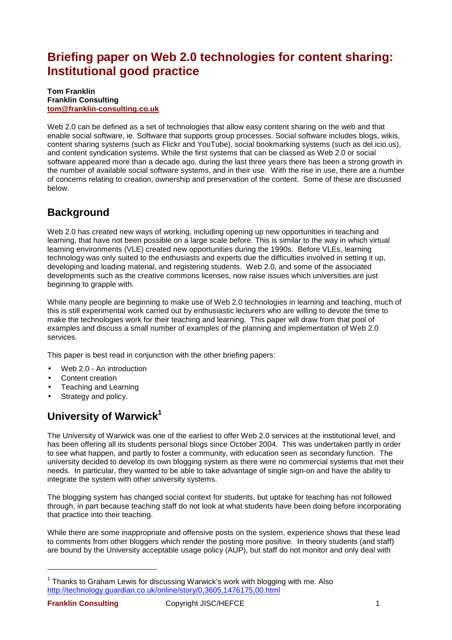# **Briefing paper on Web 2.0 technologies for content sharing: Institutional good practice**

#### **Tom Franklin Franklin Consulting tom@franklin-consulting.co.uk**

Web 2.0 can be defined as a set of technologies that allow easy content sharing on the web and that enable social software, ie. Software that supports group processes. Social software includes blogs, wikis, content sharing systems (such as Flickr and YouTube), social bookmarking systems (such as del.icio.us), and content syndication systems. While the first systems that can be classed as Web 2.0 or social software appeared more than a decade ago, during the last three years there has been a strong growth in the number of available social software systems, and in their use. With the rise in use, there are a number of concerns relating to creation, ownership and preservation of the content. Some of these are discussed below.

### **Background**

Web 2.0 has created new ways of working, including opening up new opportunities in teaching and learning, that have not been possible on a large scale before. This is similar to the way in which virtual learning environments (VLE) created new opportunities during the 1990s. Before VLEs, learning technology was only suited to the enthusiasts and experts due the difficulties involved in setting it up, developing and loading material, and registering students. Web 2.0, and some of the associated developments such as the creative commons licenses, now raise issues which universities are just beginning to grapple with.

While many people are beginning to make use of Web 2.0 technologies in learning and teaching, much of this is still experimental work carried out by enthusiastic lecturers who are willing to devote the time to make the technologies work for their teaching and learning. This paper will draw from that pool of examples and discuss a small number of examples of the planning and implementation of Web 2.0 services.

This paper is best read in conjunction with the other briefing papers:

- Web 2.0 An introduction
- Content creation
- Teaching and Learning
- Strategy and policy.

## **University of Warwick<sup>1</sup>**

The University of Warwick was one of the earliest to offer Web 2.0 services at the institutional level, and has been offering all its students personal blogs since October 2004. This was undertaken partly in order to see what happen, and partly to foster a community, with education seen as secondary function. The university decided to develop its own blogging system as there were no commercial systems that met their needs. In particular, they wanted to be able to take advantage of single sign-on and have the ability to integrate the system with other university systems.

The blogging system has changed social context for students, but uptake for teaching has not followed through, in part because teaching staff do not look at what students have been doing before incorporating that practice into their teaching.

While there are some inappropriate and offensive posts on the system, experience shows that these lead to comments from other bloggers which render the posting more positive. In theory students (and staff) are bound by the University acceptable usage policy (AUP), but staff do not monitor and only deal with

 $1$  Thanks to Graham Lewis for discussing Warwick's work with blogging with me. Also http://technology.guardian.co.uk/online/story/0,3605,1476175,00.html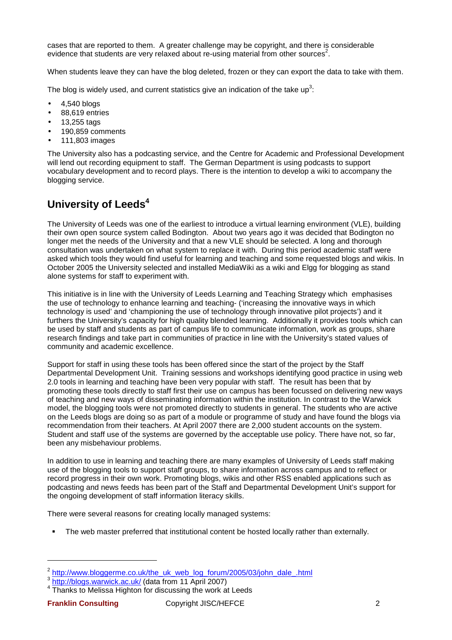cases that are reported to them. A greater challenge may be copyright, and there is considerable evidence that students are very relaxed about re-using material from other sources<sup>2</sup>.

When students leave they can have the blog deleted, frozen or they can export the data to take with them.

The blog is widely used, and current statistics give an indication of the take up<sup>3</sup>:

- 4,540 blogs
- 88,619 entries
- 13,255 tags
- 190,859 comments
- 111,803 images

The University also has a podcasting service, and the Centre for Academic and Professional Development will lend out recording equipment to staff. The German Department is using podcasts to support vocabulary development and to record plays. There is the intention to develop a wiki to accompany the blogging service.

## **University of Leeds<sup>4</sup>**

The University of Leeds was one of the earliest to introduce a virtual learning environment (VLE), building their own open source system called Bodington. About two years ago it was decided that Bodington no longer met the needs of the University and that a new VLE should be selected. A long and thorough consultation was undertaken on what system to replace it with. During this period academic staff were asked which tools they would find useful for learning and teaching and some requested blogs and wikis. In October 2005 the University selected and installed MediaWiki as a wiki and Elgg for blogging as stand alone systems for staff to experiment with.

This initiative is in line with the University of Leeds Learning and Teaching Strategy which emphasises the use of technology to enhance learning and teaching- ('increasing the innovative ways in which technology is used' and 'championing the use of technology through innovative pilot projects') and it furthers the University's capacity for high quality blended learning. Additionally it provides tools which can be used by staff and students as part of campus life to communicate information, work as groups, share research findings and take part in communities of practice in line with the University's stated values of community and academic excellence.

Support for staff in using these tools has been offered since the start of the project by the Staff Departmental Development Unit. Training sessions and workshops identifying good practice in using web 2.0 tools in learning and teaching have been very popular with staff. The result has been that by promoting these tools directly to staff first their use on campus has been focussed on delivering new ways of teaching and new ways of disseminating information within the institution. In contrast to the Warwick model, the blogging tools were not promoted directly to students in general. The students who are active on the Leeds blogs are doing so as part of a module or programme of study and have found the blogs via recommendation from their teachers. At April 2007 there are 2,000 student accounts on the system. Student and staff use of the systems are governed by the acceptable use policy. There have not, so far, been any misbehaviour problems.

In addition to use in learning and teaching there are many examples of University of Leeds staff making use of the blogging tools to support staff groups, to share information across campus and to reflect or record progress in their own work. Promoting blogs, wikis and other RSS enabled applications such as podcasting and news feeds has been part of the Staff and Departmental Development Unit's support for the ongoing development of staff information literacy skills.

There were several reasons for creating locally managed systems:

The web master preferred that institutional content be hosted locally rather than externally.

<sup>&</sup>lt;sup>2</sup> <u>http://www.bloggerme.co.uk/the\_uk\_web\_log\_forum/2005/03/john\_dale\_.html</u><br><sup>3</sup> <u>http://blogs.warwick.ac.uk/</u> (data from 11 April 2007)

<sup>&</sup>lt;sup>4</sup> Thanks to Melissa Highton for discussing the work at Leeds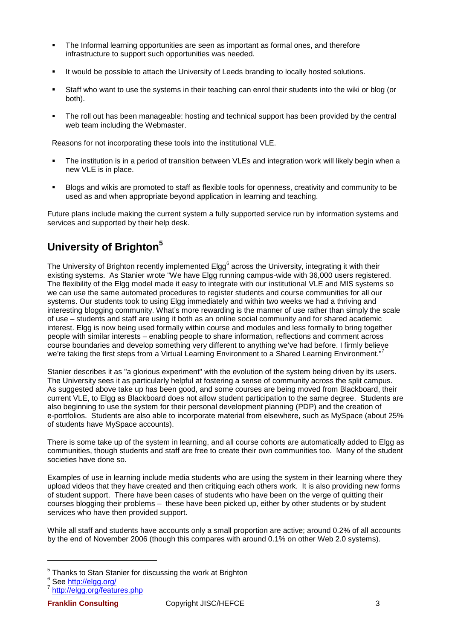- The Informal learning opportunities are seen as important as formal ones, and therefore infrastructure to support such opportunities was needed.
- It would be possible to attach the University of Leeds branding to locally hosted solutions.
- Staff who want to use the systems in their teaching can enrol their students into the wiki or blog (or both).
- The roll out has been manageable: hosting and technical support has been provided by the central web team including the Webmaster.

Reasons for not incorporating these tools into the institutional VLE.

- The institution is in a period of transition between VLEs and integration work will likely begin when a new VLE is in place.
- Blogs and wikis are promoted to staff as flexible tools for openness, creativity and community to be used as and when appropriate beyond application in learning and teaching.

Future plans include making the current system a fully supported service run by information systems and services and supported by their help desk.

### **University of Brighton<sup>5</sup>**

The University of Brighton recently implemented Elgg<sup>6</sup> across the University, integrating it with their existing systems. As Stanier wrote "We have Elgg running campus-wide with 36,000 users registered. The flexibility of the Elgg model made it easy to integrate with our institutional VLE and MIS systems so we can use the same automated procedures to register students and course communities for all our systems. Our students took to using Elgg immediately and within two weeks we had a thriving and interesting blogging community. What's more rewarding is the manner of use rather than simply the scale of use – students and staff are using it both as an online social community and for shared academic interest. Elgg is now being used formally within course and modules and less formally to bring together people with similar interests – enabling people to share information, reflections and comment across course boundaries and develop something very different to anything we've had before. I firmly believe we're taking the first steps from a Virtual Learning Environment to a Shared Learning Environment."<sup>7</sup>

Stanier describes it as "a glorious experiment" with the evolution of the system being driven by its users. The University sees it as particularly helpful at fostering a sense of community across the split campus. As suggested above take up has been good, and some courses are being moved from Blackboard, their current VLE, to Elgg as Blackboard does not allow student participation to the same degree. Students are also beginning to use the system for their personal development planning (PDP) and the creation of e-portfolios. Students are also able to incorporate material from elsewhere, such as MySpace (about 25% of students have MySpace accounts).

There is some take up of the system in learning, and all course cohorts are automatically added to Elgg as communities, though students and staff are free to create their own communities too. Many of the student societies have done so.

Examples of use in learning include media students who are using the system in their learning where they upload videos that they have created and then critiquing each others work. It is also providing new forms of student support. There have been cases of students who have been on the verge of quitting their courses blogging their problems – these have been picked up, either by other students or by student services who have then provided support.

While all staff and students have accounts only a small proportion are active; around 0.2% of all accounts by the end of November 2006 (though this compares with around 0.1% on other Web 2.0 systems).

 $5$  Thanks to Stan Stanier for discussing the work at Brighton

<sup>&</sup>lt;sup>6</sup> See <u>http://elgg.org/</u><br><sup>7</sup> http://elgg.org/fectur

http://elgg.org/features.php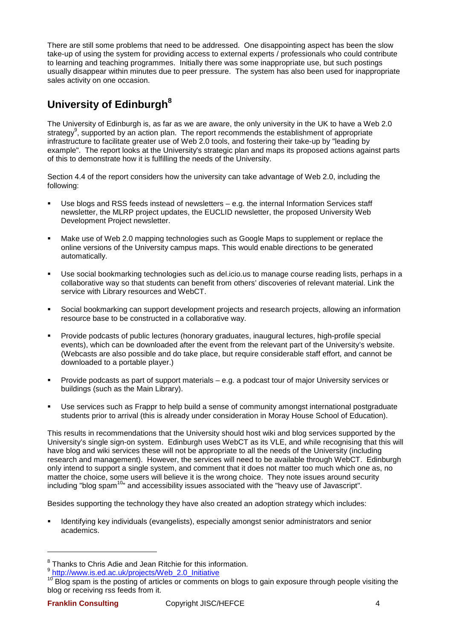There are still some problems that need to be addressed. One disappointing aspect has been the slow take-up of using the system for providing access to external experts / professionals who could contribute to learning and teaching programmes. Initially there was some inappropriate use, but such postings usually disappear within minutes due to peer pressure. The system has also been used for inappropriate sales activity on one occasion.

# **University of Edinburgh<sup>8</sup>**

The University of Edinburgh is, as far as we are aware, the only university in the UK to have a Web 2.0 strategy<sup>9</sup>, supported by an action plan. The report recommends the establishment of appropriate infrastructure to facilitate greater use of Web 2.0 tools, and fostering their take-up by "leading by example". The report looks at the University's strategic plan and maps its proposed actions against parts of this to demonstrate how it is fulfilling the needs of the University.

Section 4.4 of the report considers how the university can take advantage of Web 2.0, including the following:

- Use blogs and RSS feeds instead of newsletters e.g. the internal Information Services staff newsletter, the MLRP project updates, the EUCLID newsletter, the proposed University Web Development Project newsletter.
- Make use of Web 2.0 mapping technologies such as Google Maps to supplement or replace the online versions of the University campus maps. This would enable directions to be generated automatically.
- Use social bookmarking technologies such as del.icio.us to manage course reading lists, perhaps in a collaborative way so that students can benefit from others' discoveries of relevant material. Link the service with Library resources and WebCT.
- Social bookmarking can support development projects and research projects, allowing an information resource base to be constructed in a collaborative way.
- Provide podcasts of public lectures (honorary graduates, inaugural lectures, high-profile special events), which can be downloaded after the event from the relevant part of the University's website. (Webcasts are also possible and do take place, but require considerable staff effort, and cannot be downloaded to a portable player.)
- Provide podcasts as part of support materials e.g. a podcast tour of major University services or buildings (such as the Main Library).
- Use services such as Frappr to help build a sense of community amongst international postgraduate students prior to arrival (this is already under consideration in Moray House School of Education).

This results in recommendations that the University should host wiki and blog services supported by the University's single sign-on system. Edinburgh uses WebCT as its VLE, and while recognising that this will have blog and wiki services these will not be appropriate to all the needs of the University (including research and management). However, the services will need to be available through WebCT. Edinburgh only intend to support a single system, and comment that it does not matter too much which one as, no matter the choice, some users will believe it is the wrong choice. They note issues around security including "blog spam<sup>10</sup>" and accessibility issues associated with the "heavy use of Javascript".

Besides supporting the technology they have also created an adoption strategy which includes:

 Identifying key individuals (evangelists), especially amongst senior administrators and senior academics.

<sup>&</sup>lt;sup>8</sup> Thanks to Chris Adie and Jean Ritchie for this information.<br><sup>9</sup> http://www.is.ed.ac.uk/projects/Web\_2.0\_Initiative

<sup>&</sup>lt;sup>10</sup> Blog spam is the posting of articles or comments on blogs to gain exposure through people visiting the blog or receiving rss feeds from it.